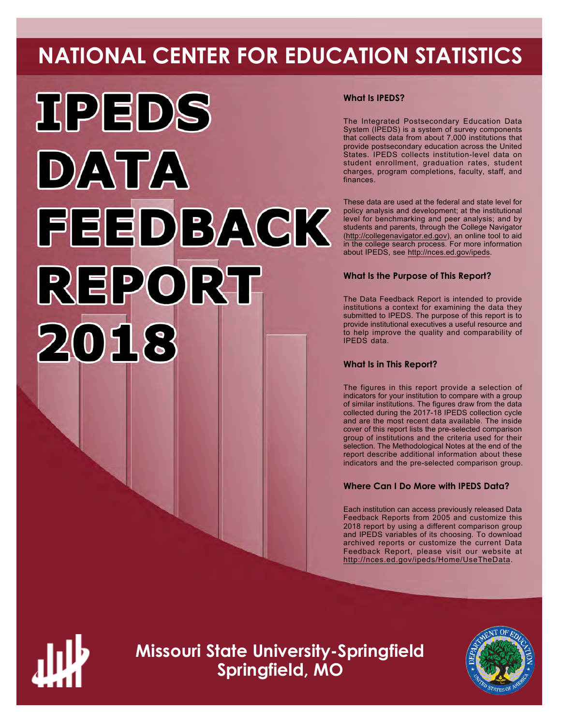# **NATIONAL CENTER FOR EDUCATION STATISTICS**



# **What Is IPEDS?**

The Integrated Postsecondary Education Data System (IPEDS) is a system of survey components that collects data from about 7,000 institutions that provide postsecondary education across the United States. IPEDS collects institution-level data on student enrollment, graduation rates, student charges, program completions, faculty, staff, and finances.

These data are used at the federal and state level for policy analysis and development; at the institutional level for benchmarking and peer analysis; and by students and parents, through the College Navigator (<http://collegenavigator.ed.gov>), an online tool to aid in the college search process. For more information about IPEDS, see [http://nces.ed.gov/ipeds.](http://nces.ed.gov/ipeds)

# **What Is the Purpose of This Report?**

The Data Feedback Report is intended to provide institutions a context for examining the data they submitted to IPEDS. The purpose of this report is to provide institutional executives a useful resource and to help improve the quality and comparability of IPEDS data.

# **What Is in This Report?**

The figures in this report provide a selection of indicators for your institution to compare with a group of similar institutions. The figures draw from the data collected during the 2017-18 IPEDS collection cycle and are the most recent data available. The inside cover of this report lists the pre-selected comparison group of institutions and the criteria used for their selection. The Methodological Notes at the end of the report describe additional information about these indicators and the pre-selected comparison group.

# **Where Can I Do More with IPEDS Data?**

Each institution can access previously released Data Feedback Reports from 2005 and customize this 2018 report by using a different comparison group and IPEDS variables of its choosing. To download archived reports or customize the current Data Feedback Report, please visit our website at <http://nces.ed.gov/ipeds/Home/UseTheData>.



**Missouri State University-Springfield Springfield, MO**

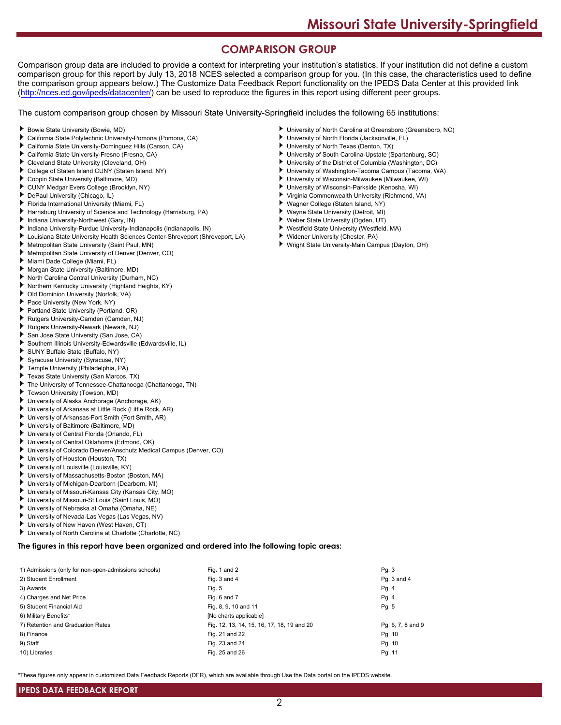# **COMPARISON GROUP**

Comparison group data are included to provide a context for interpreting your institution's statistics. If your institution did not define a custom comparison group for this report by July 13, 2018 NCES selected a comparison group for you. (In this case, the characteristics used to define the comparison group appears below.) The Customize Data Feedback Report functionality on the IPEDS Data Center at this provided link [\(http://nces.ed.gov/ipeds/datacenter/\)](http://nces.ed.gov/ipeds/datacenter/) can be used to reproduce the figures in this report using different peer groups.

The custom comparison group chosen by Missouri State University-Springfield includes the following 65 institutions:

- Bowie State University (Bowie, MD)
- ь California State Polytechnic University-Pomona (Pomona, CA)
- California State University-Dominguez Hills (Carson, CA)
- California State University-Fresno (Fresno, CA)
- Cleveland State University (Cleveland, OH)
- ь College of Staten Island CUNY (Staten Island, NY)
- Coppin State University (Baltimore, MD)
- CUNY Medgar Evers College (Brooklyn, NY)
- DePaul University (Chicago, IL)
- Florida International University (Miami, FL)
- Harrisburg University of Science and Technology (Harrisburg, PA)
- Indiana University-Northwest (Gary, IN)
- Indiana University-Purdue University-Indianapolis (Indianapolis, IN)
- Louisiana State University Health Sciences Center-Shreveport (Shreveport, LA)
- Metropolitan State University (Saint Paul, MN)
- Metropolitan State University of Denver (Denver, CO)
- Miami Dade College (Miami, FL)
- Morgan State University (Baltimore, MD)
- North Carolina Central University (Durham, NC)
- Northern Kentucky University (Highland Heights, KY)
- Old Dominion University (Norfolk, VA)
- Pace University (New York, NY)
- Portland State University (Portland, OR)
- Rutgers University-Camden (Camden, NJ)
- Rutgers University-Newark (Newark, NJ)
- San Jose State University (San Jose, CA)
- Southern Illinois University-Edwardsville (Edwardsville, IL)
- SUNY Buffalo State (Buffalo, NY)
- Syracuse University (Syracuse, NY)
- Temple University (Philadelphia, PA)
- Texas State University (San Marcos, TX)
- The University of Tennessee-Chattanooga (Chattanooga, TN)
- ٠ Towson University (Towson, MD)
- University of Alaska Anchorage (Anchorage, AK)
- University of Arkansas at Little Rock (Little Rock, AR)
- University of Arkansas-Fort Smith (Fort Smith, AR)
- University of Baltimore (Baltimore, MD)
- University of Central Florida (Orlando, FL)
- University of Central Oklahoma (Edmond, OK)
- University of Colorado Denver/Anschutz Medical Campus (Denver, CO)
- University of Houston (Houston, TX)
- University of Louisville (Louisville, KY)
- University of Massachusetts-Boston (Boston, MA)
- University of Michigan-Dearborn (Dearborn, MI)
- University of Missouri-Kansas City (Kansas City, MO)
- University of Missouri-St Louis (Saint Louis, MO) ь
- University of Nebraska at Omaha (Omaha, NE)
- University of Nevada-Las Vegas (Las Vegas, NV)
- University of New Haven (West Haven, CT)
- University of North Carolina at Charlotte (Charlotte, NC)

**The figures in this report have been organized and ordered into the following topic areas:**

| 1) Admissions (only for non-open-admissions schools) | Fig. 1 and 2                               | Pg. 3             |
|------------------------------------------------------|--------------------------------------------|-------------------|
| 2) Student Enrollment                                | Fig. 3 and 4                               | Pq. 3 and 4       |
| 3) Awards                                            | Fig. 5                                     | Pg. 4             |
| 4) Charges and Net Price                             | Fig. 6 and 7                               | Pg. 4             |
| 5) Student Financial Aid                             | Fig. 8, 9, 10 and 11                       | Pg. 5             |
| 6) Military Benefits*                                | [No charts applicable]                     |                   |
| 7) Retention and Graduation Rates                    | Fig. 12, 13, 14, 15, 16, 17, 18, 19 and 20 | Pg. 6, 7, 8 and 9 |
| 8) Finance                                           | Fig. 21 and 22                             | Pg. 10            |
| 9) Staff                                             | Fig. 23 and 24                             | Pg. 10            |
| 10) Libraries                                        | Fig. 25 and 26                             | Pg. 11            |

\*These figures only appear in customized Data Feedback Reports (DFR), which are available through Use the Data portal on the IPEDS website.

2

- University of North Carolina at Greensboro (Greensboro, NC)
- University of North Florida (Jacksonville, FL)
- University of North Texas (Denton, TX)
- University of South Carolina-Upstate (Spartanburg, SC)
- University of the District of Columbia (Washington, DC)
- University of Washington-Tacoma Campus (Tacoma, WA)
- University of Wisconsin-Milwaukee (Milwaukee, WI)
- University of Wisconsin-Parkside (Kenosha, WI)
- ٠ Virginia Commonwealth University (Richmond, VA)
- Wagner College (Staten Island, NY)
- Wayne State University (Detroit, MI)
- ٠ Weber State University (Ogden, UT)
- Westfield State University (Westfield, MA) Widener University (Chester, PA)
- 
- Wright State University-Main Campus (Dayton, OH)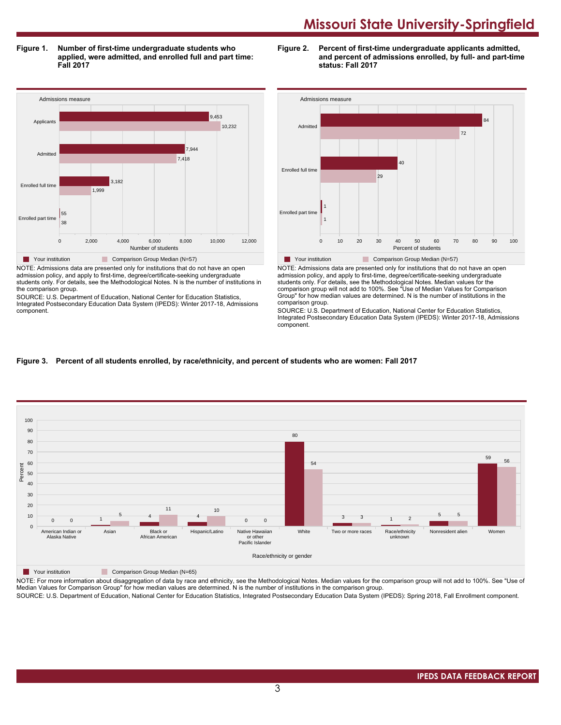**Figure 1. Number of first-time undergraduate students who applied, were admitted, and enrolled full and part time: Fall 2017**

Admissions measure 0 2,000 4,000 6,000 8,000 10,000 12,000 Number of students Enrolled part time Enrolled full time **Admitte** Applicants 38 55 1,999 3,182 7,418 7,944 10,232 9,453 Your institution Comparison Group Median (N=57) NOTE: Admissions data are presented only for institutions that do not have an open

admission policy, and apply to first-time, degree/certificate-seeking undergraduate students only. For details, see the Methodological Notes. N is the number of institutions in the comparison group.

SOURCE: U.S. Department of Education, National Center for Education Statistics, Integrated Postsecondary Education Data System (IPEDS): Winter 2017-18, Admissions component.





NOTE: Admissions data are presented only for institutions that do not have an open admission policy, and apply to first-time, degree/certificate-seeking undergraduate students only. For details, see the Methodological Notes. Median values for the comparison group will not add to 100%. See "Use of Median Values for Comparison Group" for how median values are determined. N is the number of institutions in the comparison group.

SOURCE: U.S. Department of Education, National Center for Education Statistics, Integrated Postsecondary Education Data System (IPEDS): Winter 2017-18, Admissions component.

# **Figure 3. Percent of all students enrolled, by race/ethnicity, and percent of students who are women: Fall 2017**



**The Your institution Comparison Group Median (N=65)** 

NOTE: For more information about disaggregation of data by race and ethnicity, see the Methodological Notes. Median values for the comparison group will not add to 100%. See "Use of Median Values for Comparison Group" for how median values are determined. N is the number of institutions in the comparison group.

SOURCE: U.S. Department of Education, National Center for Education Statistics, Integrated Postsecondary Education Data System (IPEDS): Spring 2018, Fall Enrollment component.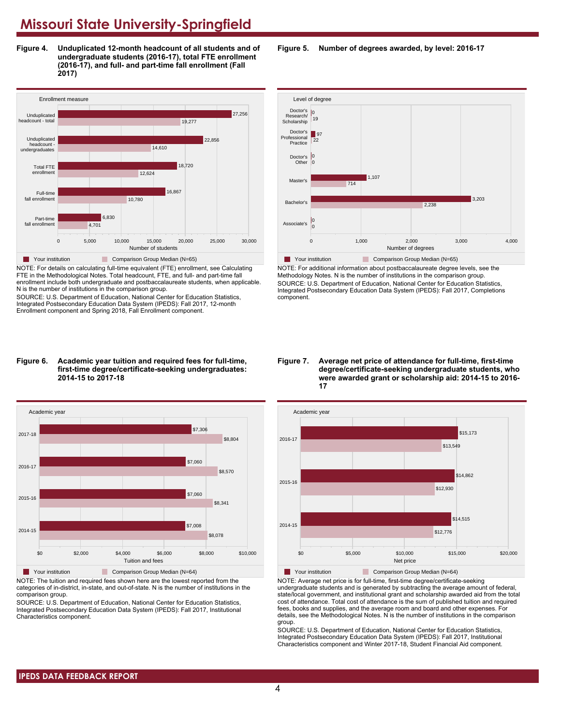**Figure 4. Unduplicated 12-month headcount of all students and of undergraduate students (2016-17), total FTE enrollment (2016-17), and full- and part-time fall enrollment (Fall 2017)**



NOTE: For details on calculating full-time equivalent (FTE) enrollment, see Calculating FTE in the Methodological Notes. Total headcount, FTE, and full- and part-time fall enrollment include both undergraduate and postbaccalaureate students, when applicable. N is the number of institutions in the comparison group.

SOURCE: U.S. Department of Education, National Center for Education Statistics, Integrated Postsecondary Education Data System (IPEDS): Fall 2017, 12-month Enrollment component and Spring 2018, Fall Enrollment component.

#### **Figure 6. Academic year tuition and required fees for full-time, first-time degree/certificate-seeking undergraduates: 2014-15 to 2017-18**



NOTE: The tuition and required fees shown here are the lowest reported from the categories of in-district, in-state, and out-of-state. N is the number of institutions in the comparison group.

SOURCE: U.S. Department of Education, National Center for Education Statistics, Integrated Postsecondary Education Data System (IPEDS): Fall 2017, Institutional Characteristics component.

**Figure 5. Number of degrees awarded, by level: 2016-17**



NOTE: For additional information about postbaccalaureate degree levels, see the Methodology Notes. N is the number of institutions in the comparison group. SOURCE: U.S. Department of Education, National Center for Education Statistics, Integrated Postsecondary Education Data System (IPEDS): Fall 2017, Completions component.

**Figure 7. Average net price of attendance for full-time, first-time degree/certificate-seeking undergraduate students, who were awarded grant or scholarship aid: 2014-15 to 2016- 17**



NOTE: Average net price is for full-time, first-time degree/certificate-seeking undergraduate students and is generated by subtracting the average amount of federal, state/local government, and institutional grant and scholarship awarded aid from the total cost of attendance. Total cost of attendance is the sum of published tuition and required fees, books and supplies, and the average room and board and other expenses. For details, see the Methodological Notes. N is the number of institutions in the comparison group.

SOURCE: U.S. Department of Education, National Center for Education Statistics, Integrated Postsecondary Education Data System (IPEDS): Fall 2017, Institutional Characteristics component and Winter 2017-18, Student Financial Aid component.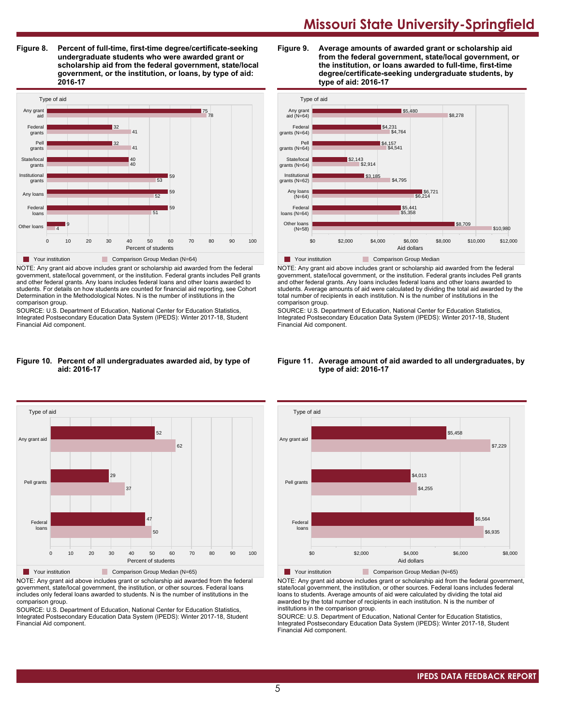**Figure 8. Percent of full-time, first-time degree/certificate-seeking undergraduate students who were awarded grant or scholarship aid from the federal government, state/local government, or the institution, or loans, by type of aid: 2016-17**



NOTE: Any grant aid above includes grant or scholarship aid awarded from the federal government, state/local government, or the institution. Federal grants includes Pell grants and other federal grants. Any loans includes federal loans and other loans awarded to students. For details on how students are counted for financial aid reporting, see Cohort Determination in the Methodological Notes. N is the number of institutions in the comparison group.

SOURCE: U.S. Department of Education, National Center for Education Statistics, Integrated Postsecondary Education Data System (IPEDS): Winter 2017-18, Student Financial Aid component.

#### **Figure 10. Percent of all undergraduates awarded aid, by type of aid: 2016-17**



NOTE: Any grant aid above includes grant or scholarship aid awarded from the federal government, state/local government, the institution, or other sources. Federal loans includes only federal loans awarded to students. N is the number of institutions in the comparison group.

SOURCE: U.S. Department of Education, National Center for Education Statistics, Integrated Postsecondary Education Data System (IPEDS): Winter 2017-18, Student Financial Aid component.





NOTE: Any grant aid above includes grant or scholarship aid awarded from the federal government, state/local government, or the institution. Federal grants includes Pell grants and other federal grants. Any loans includes federal loans and other loans awarded to students. Average amounts of aid were calculated by dividing the total aid awarded by the total number of recipients in each institution. N is the number of institutions in the comparison group.

SOURCE: U.S. Department of Education, National Center for Education Statistics, Integrated Postsecondary Education Data System (IPEDS): Winter 2017-18, Student Financial Aid component.

#### **Figure 11. Average amount of aid awarded to all undergraduates, by type of aid: 2016-17**



NOTE: Any grant aid above includes grant or scholarship aid from the federal government, state/local government, the institution, or other sources. Federal loans includes federal loans to students. Average amounts of aid were calculated by dividing the total aid awarded by the total number of recipients in each institution. N is the number of institutions in the comparison group.

SOURCE: U.S. Department of Education, National Center for Education Statistics, Integrated Postsecondary Education Data System (IPEDS): Winter 2017-18, Student Financial Aid component.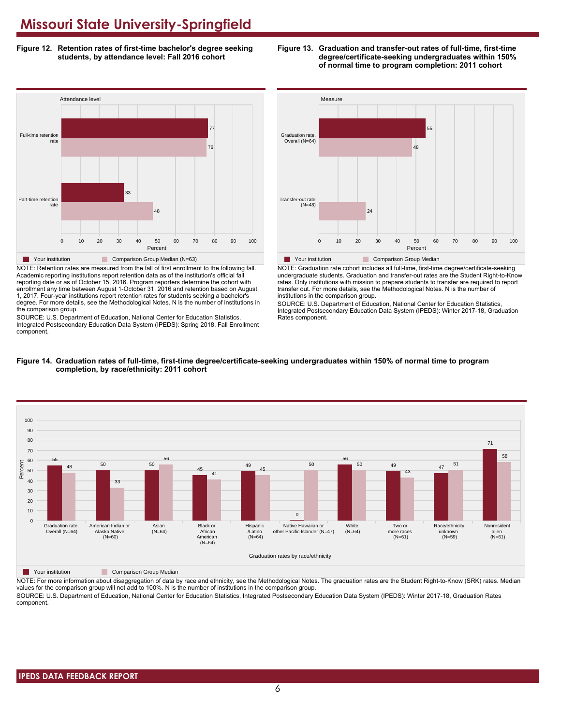**Figure 12. Retention rates of first-time bachelor's degree seeking students, by attendance level: Fall 2016 cohort**





NOTE: Retention rates are measured from the fall of first enrollment to the following fall. Academic reporting institutions report retention data as of the institution's official fall reporting date or as of October 15, 2016. Program reporters determine the cohort with enrollment any time between August 1-October 31, 2016 and retention based on August 1, 2017. Four-year institutions report retention rates for students seeking a bachelor's degree. For more details, see the Methodological Notes. N is the number of institutions in the comparison group.

SOURCE: U.S. Department of Education, National Center for Education Statistics, Integrated Postsecondary Education Data System (IPEDS): Spring 2018, Fall Enrollment component.



NOTE: Graduation rate cohort includes all full-time, first-time degree/certificate-seeking undergraduate students. Graduation and transfer-out rates are the Student Right-to-Know rates. Only institutions with mission to prepare students to transfer are required to report transfer out. For more details, see the Methodological Notes. N is the number of institutions in the comparison group.

SOURCE: U.S. Department of Education, National Center for Education Statistics, Integrated Postsecondary Education Data System (IPEDS): Winter 2017-18, Graduation Rates component.



#### **Figure 14. Graduation rates of full-time, first-time degree/certificate-seeking undergraduates within 150% of normal time to program completion, by race/ethnicity: 2011 cohort**

**The Your institution** Comparison Group Median

NOTE: For more information about disaggregation of data by race and ethnicity, see the Methodological Notes. The graduation rates are the Student Right-to-Know (SRK) rates. Median values for the comparison group will not add to 100%. N is the number of institutions in the comparison group. SOURCE: U.S. Department of Education, National Center for Education Statistics, Integrated Postsecondary Education Data System (IPEDS): Winter 2017-18, Graduation Rates

component.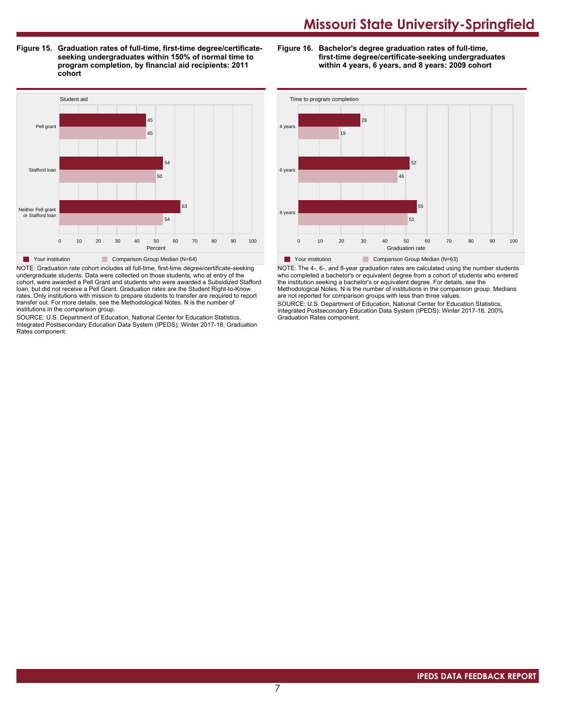**Figure 15. Graduation rates of full-time, first-time degree/certificateseeking undergraduates within 150% of normal time to program completion, by financial aid recipients: 2011 cohort**

**Figure 16. Bachelor's degree graduation rates of full-time, first-time degree/certificate-seeking undergraduates within 4 years, 6 years, and 8 years: 2009 cohort**



NOTE: Graduation rate cohort includes all full-time, first-time degree/certificate-seeking undergraduate students. Data were collected on those students, who at entry of the cohort, were awarded a Pell Grant and students who were awarded a Subsidized Stafford loan, but did not receive a Pell Grant. Graduation rates are the Student Right-to-Know rates. Only institutions with mission to prepare students to transfer are required to report transfer out. For more details, see the Methodological Notes. N is the number of institutions in the comparison group.

SOURCE: U.S. Department of Education, National Center for Education Statistics, Integrated Postsecondary Education Data System (IPEDS): Winter 2017-18, Graduation Rates component.



NOTE: The 4-, 6-, and 8-year graduation rates are calculated using the number students who completed a bachelor's or equivalent degree from a cohort of students who entered the institution seeking a bachelor's or equivalent degree. For details, see the Methodological Notes. N is the number of institutions in the comparison group. Medians are not reported for comparison groups with less than three values.

SOURCE: U.S. Department of Education, National Center for Education Statistics, Integrated Postsecondary Education Data System (IPEDS): Winter 2017-18, 200% Graduation Rates component.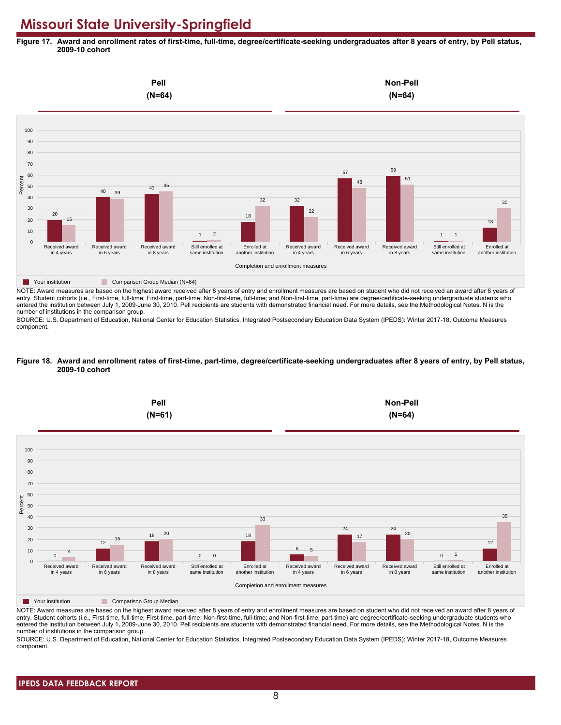**Figure 17. Award and enrollment rates of first-time, full-time, degree/certificate-seeking undergraduates after 8 years of entry, by Pell status, 2009-10 cohort**



NOTE: Award measures are based on the highest award received after 8 years of entry and enrollment measures are based on student who did not received an award after 8 years of entry. Student cohorts (i.e., First-time, full-time; First-time, part-time; Non-first-time, full-time; and Non-first-time, part-time) are degree/certificate-seeking undergraduate students who entered the institution between July 1, 2009-June 30, 2010. Pell recipients are students with demonstrated financial need. For more details, see the Methodological Notes. N is the number of institutions in the comparison group.

SOURCE: U.S. Department of Education, National Center for Education Statistics, Integrated Postsecondary Education Data System (IPEDS): Winter 2017-18, Outcome Measures component.

#### **Figure 18. Award and enrollment rates of first-time, part-time, degree/certificate-seeking undergraduates after 8 years of entry, by Pell status, 2009-10 cohort**



NOTE: Award measures are based on the highest award received after 8 years of entry and enrollment measures are based on student who did not received an award after 8 years of entry. Student cohorts (i.e., First-time, full-time; First-time, part-time; Non-first-time, full-time; and Non-first-time, part-time) are degree/certificate-seeking undergraduate students who entered the institution between July 1, 2009-June 30, 2010. Pell recipients are students with demonstrated financial need. For more details, see the Methodological Notes. N is the number of institutions in the comparison group.

SOURCE: U.S. Department of Education, National Center for Education Statistics, Integrated Postsecondary Education Data System (IPEDS): Winter 2017-18, Outcome Measures component.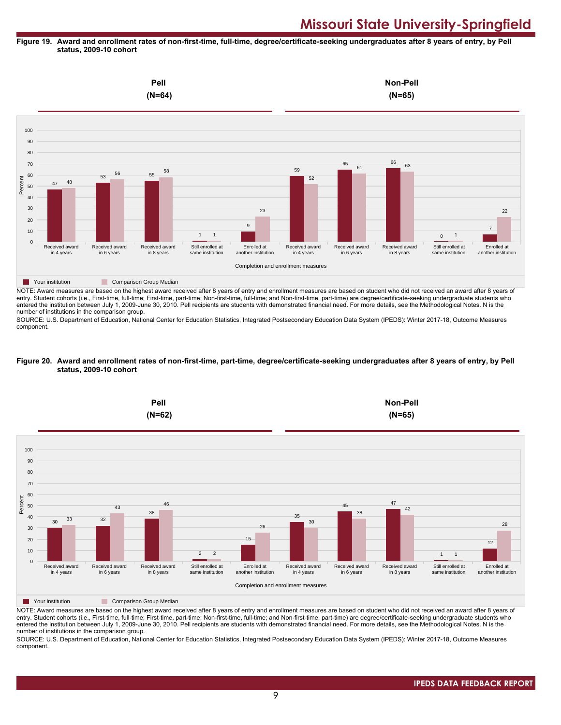#### **Figure 19. Award and enrollment rates of non-first-time, full-time, degree/certificate-seeking undergraduates after 8 years of entry, by Pell status, 2009-10 cohort**



NOTE: Award measures are based on the highest award received after 8 years of entry and enrollment measures are based on student who did not received an award after 8 years of entry. Student cohorts (i.e., First-time, full-time; First-time, part-time; Non-first-time, full-time; and Non-first-time, part-time) are degree/certificate-seeking undergraduate students who entered the institution between July 1, 2009-June 30, 2010. Pell recipients are students with demonstrated financial need. For more details, see the Methodological Notes. N is the number of institutions in the comparison group.

SOURCE: U.S. Department of Education, National Center for Education Statistics, Integrated Postsecondary Education Data System (IPEDS): Winter 2017-18, Outcome Measures component.

#### **Figure 20. Award and enrollment rates of non-first-time, part-time, degree/certificate-seeking undergraduates after 8 years of entry, by Pell status, 2009-10 cohort**



NOTE: Award measures are based on the highest award received after 8 years of entry and enrollment measures are based on student who did not received an award after 8 years of entry. Student cohorts (i.e., First-time, full-time; First-time, part-time; Non-first-time, full-time; and Non-first-time, part-time) are degree/certificate-seeking undergraduate students who entered the institution between July 1, 2009-June 30, 2010. Pell recipients are students with demonstrated financial need. For more details, see the Methodological Notes. N is the number of institutions in the comparison group.

SOURCE: U.S. Department of Education, National Center for Education Statistics, Integrated Postsecondary Education Data System (IPEDS): Winter 2017-18, Outcome Measures component.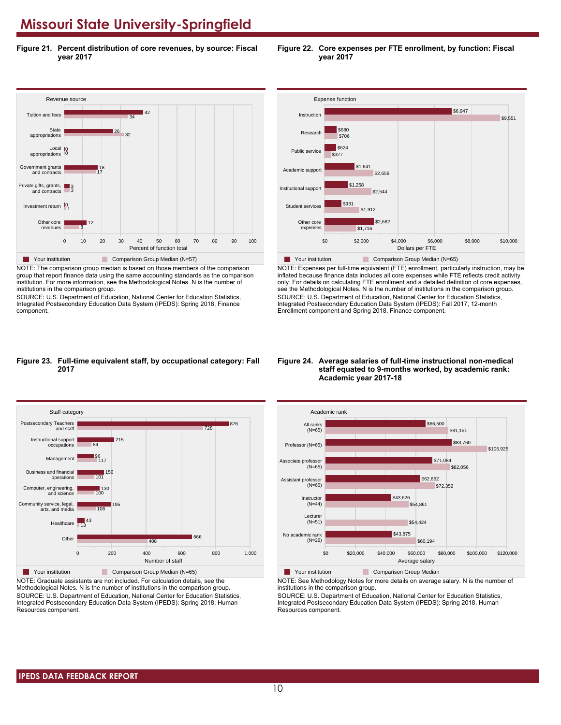**Figure 21. Percent distribution of core revenues, by source: Fiscal year 2017**



NOTE: The comparison group median is based on those members of the comparison group that report finance data using the same accounting standards as the comparison institution. For more information, see the Methodological Notes. N is the number of institutions in the comparison group.

SOURCE: U.S. Department of Education, National Center for Education Statistics, Integrated Postsecondary Education Data System (IPEDS): Spring 2018, Finance component.



**Figure 22. Core expenses per FTE enrollment, by function: Fiscal**

**year 2017**



NOTE: Expenses per full-time equivalent (FTE) enrollment, particularly instruction, may be inflated because finance data includes all core expenses while FTE reflects credit activity only. For details on calculating FTE enrollment and a detailed definition of core expenses, see the Methodological Notes. N is the number of institutions in the comparison group. SOURCE: U.S. Department of Education, National Center for Education Statistics, Integrated Postsecondary Education Data System (IPEDS): Fall 2017, 12-month Enrollment component and Spring 2018, Finance component.

## **Figure 23. Full-time equivalent staff, by occupational category: Fall 2017**



NOTE: Graduate assistants are not included. For calculation details, see the Methodological Notes. N is the number of institutions in the comparison group. SOURCE: U.S. Department of Education, National Center for Education Statistics, Integrated Postsecondary Education Data System (IPEDS): Spring 2018, Human Resources component.

#### **Figure 24. Average salaries of full-time instructional non-medical staff equated to 9-months worked, by academic rank: Academic year 2017-18**



NOTE: See Methodology Notes for more details on average salary. N is the number of

institutions in the comparison group. SOURCE: U.S. Department of Education, National Center for Education Statistics,

Integrated Postsecondary Education Data System (IPEDS): Spring 2018, Human Resources component.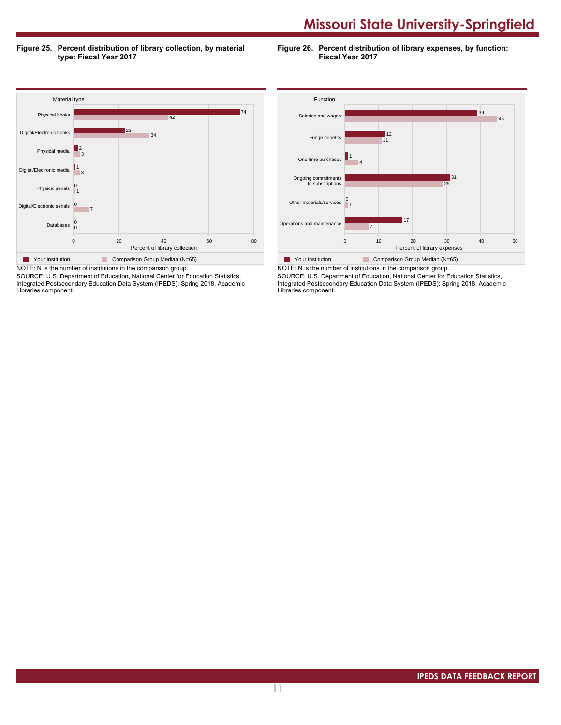**Figure 25. Percent distribution of library collection, by material type: Fiscal Year 2017**

**Figure 26. Percent distribution of library expenses, by function: Fiscal Year 2017**



SOURCE: U.S. Department of Education, National Center for Education Statistics, Integrated Postsecondary Education Data System (IPEDS): Spring 2018, Academic Libraries component.



SOURCE: U.S. Department of Education, National Center for Education Statistics, Integrated Postsecondary Education Data System (IPEDS): Spring 2018, Academic Libraries component.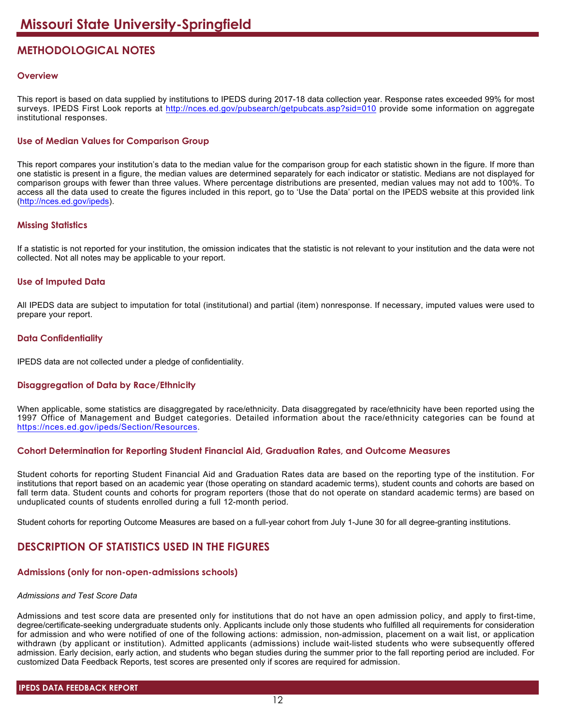# **METHODOLOGICAL NOTES**

# **Overview**

This report is based on data supplied by institutions to IPEDS during 2017-18 data collection year. Response rates exceeded 99% for most surveys. IPEDS First Look reports at <http://nces.ed.gov/pubsearch/getpubcats.asp?sid=010> provide some information on aggregate institutional responses.

# **Use of Median Values for Comparison Group**

This report compares your institution's data to the median value for the comparison group for each statistic shown in the figure. If more than one statistic is present in a figure, the median values are determined separately for each indicator or statistic. Medians are not displayed for comparison groups with fewer than three values. Where percentage distributions are presented, median values may not add to 100%. To access all the data used to create the figures included in this report, go to 'Use the Data' portal on the IPEDS website at this provided link (<http://nces.ed.gov/ipeds>).

# **Missing Statistics**

If a statistic is not reported for your institution, the omission indicates that the statistic is not relevant to your institution and the data were not collected. Not all notes may be applicable to your report.

# **Use of Imputed Data**

All IPEDS data are subject to imputation for total (institutional) and partial (item) nonresponse. If necessary, imputed values were used to prepare your report.

# **Data Confidentiality**

IPEDS data are not collected under a pledge of confidentiality.

# **Disaggregation of Data by Race/Ethnicity**

When applicable, some statistics are disaggregated by race/ethnicity. Data disaggregated by race/ethnicity have been reported using the 1997 Office of Management and Budget categories. Detailed information about the race/ethnicity categories can be found at <https://nces.ed.gov/ipeds/Section/Resources>.

# **Cohort Determination for Reporting Student Financial Aid, Graduation Rates, and Outcome Measures**

Student cohorts for reporting Student Financial Aid and Graduation Rates data are based on the reporting type of the institution. For institutions that report based on an academic year (those operating on standard academic terms), student counts and cohorts are based on fall term data. Student counts and cohorts for program reporters (those that do not operate on standard academic terms) are based on unduplicated counts of students enrolled during a full 12-month period.

Student cohorts for reporting Outcome Measures are based on a full-year cohort from July 1-June 30 for all degree-granting institutions.

# **DESCRIPTION OF STATISTICS USED IN THE FIGURES**

# **Admissions (only for non-open-admissions schools)**

#### *Admissions and Test Score Data*

Admissions and test score data are presented only for institutions that do not have an open admission policy, and apply to first-time, degree/certificate-seeking undergraduate students only. Applicants include only those students who fulfilled all requirements for consideration for admission and who were notified of one of the following actions: admission, non-admission, placement on a wait list, or application withdrawn (by applicant or institution). Admitted applicants (admissions) include wait-listed students who were subsequently offered admission. Early decision, early action, and students who began studies during the summer prior to the fall reporting period are included. For customized Data Feedback Reports, test scores are presented only if scores are required for admission.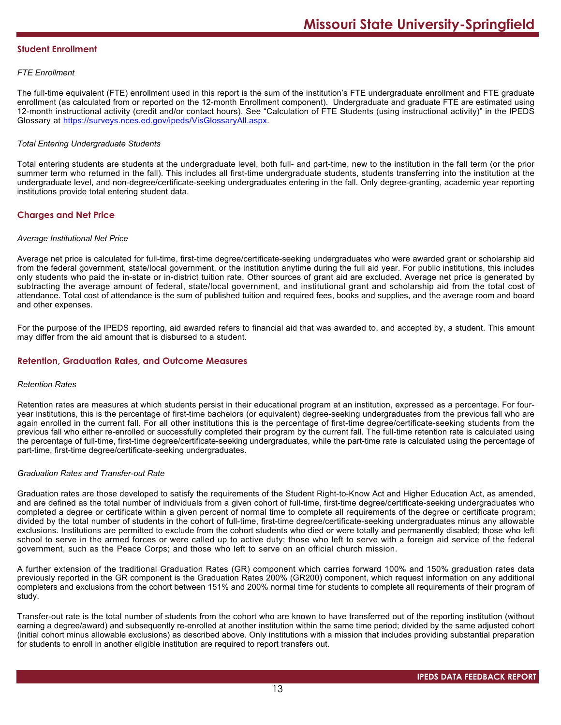### **Student Enrollment**

## *FTE Enrollment*

The full-time equivalent (FTE) enrollment used in this report is the sum of the institution's FTE undergraduate enrollment and FTE graduate enrollment (as calculated from or reported on the 12-month Enrollment component). Undergraduate and graduate FTE are estimated using 12-month instructional activity (credit and/or contact hours). See "Calculation of FTE Students (using instructional activity)" in the IPEDS Glossary at <https://surveys.nces.ed.gov/ipeds/VisGlossaryAll.aspx>.

## *Total Entering Undergraduate Students*

Total entering students are students at the undergraduate level, both full- and part-time, new to the institution in the fall term (or the prior summer term who returned in the fall). This includes all first-time undergraduate students, students transferring into the institution at the undergraduate level, and non-degree/certificate-seeking undergraduates entering in the fall. Only degree-granting, academic year reporting institutions provide total entering student data.

# **Charges and Net Price**

#### *Average Institutional Net Price*

Average net price is calculated for full-time, first-time degree/certificate-seeking undergraduates who were awarded grant or scholarship aid from the federal government, state/local government, or the institution anytime during the full aid year. For public institutions, this includes only students who paid the in-state or in-district tuition rate. Other sources of grant aid are excluded. Average net price is generated by subtracting the average amount of federal, state/local government, and institutional grant and scholarship aid from the total cost of attendance. Total cost of attendance is the sum of published tuition and required fees, books and supplies, and the average room and board and other expenses.

For the purpose of the IPEDS reporting, aid awarded refers to financial aid that was awarded to, and accepted by, a student. This amount may differ from the aid amount that is disbursed to a student.

## **Retention, Graduation Rates, and Outcome Measures**

#### *Retention Rates*

Retention rates are measures at which students persist in their educational program at an institution, expressed as a percentage. For fouryear institutions, this is the percentage of first-time bachelors (or equivalent) degree-seeking undergraduates from the previous fall who are again enrolled in the current fall. For all other institutions this is the percentage of first-time degree/certificate-seeking students from the previous fall who either re-enrolled or successfully completed their program by the current fall. The full-time retention rate is calculated using the percentage of full-time, first-time degree/certificate-seeking undergraduates, while the part-time rate is calculated using the percentage of part-time, first-time degree/certificate-seeking undergraduates.

### *Graduation Rates and Transfer-out Rate*

Graduation rates are those developed to satisfy the requirements of the Student Right-to-Know Act and Higher Education Act, as amended, and are defined as the total number of individuals from a given cohort of full-time, first-time degree/certificate-seeking undergraduates who completed a degree or certificate within a given percent of normal time to complete all requirements of the degree or certificate program; divided by the total number of students in the cohort of full-time, first-time degree/certificate-seeking undergraduates minus any allowable exclusions. Institutions are permitted to exclude from the cohort students who died or were totally and permanently disabled; those who left school to serve in the armed forces or were called up to active duty; those who left to serve with a foreign aid service of the federal government, such as the Peace Corps; and those who left to serve on an official church mission.

A further extension of the traditional Graduation Rates (GR) component which carries forward 100% and 150% graduation rates data previously reported in the GR component is the Graduation Rates 200% (GR200) component, which request information on any additional completers and exclusions from the cohort between 151% and 200% normal time for students to complete all requirements of their program of study.

Transfer-out rate is the total number of students from the cohort who are known to have transferred out of the reporting institution (without earning a degree/award) and subsequently re-enrolled at another institution within the same time period; divided by the same adjusted cohort (initial cohort minus allowable exclusions) as described above. Only institutions with a mission that includes providing substantial preparation for students to enroll in another eligible institution are required to report transfers out.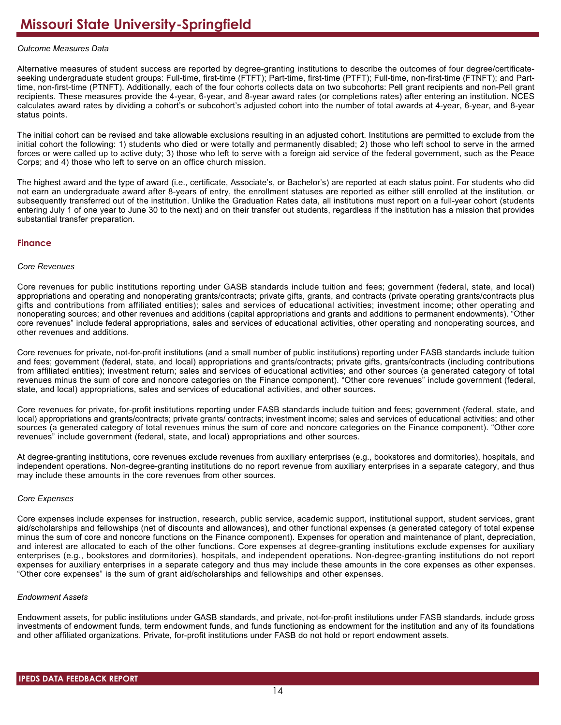## *Outcome Measures Data*

Alternative measures of student success are reported by degree-granting institutions to describe the outcomes of four degree/certificateseeking undergraduate student groups: Full-time, first-time (FTFT); Part-time, first-time (PTFT); Full-time, non-first-time (FTNFT); and Parttime, non-first-time (PTNFT). Additionally, each of the four cohorts collects data on two subcohorts: Pell grant recipients and non-Pell grant recipients. These measures provide the 4-year, 6-year, and 8-year award rates (or completions rates) after entering an institution. NCES calculates award rates by dividing a cohort's or subcohort's adjusted cohort into the number of total awards at 4-year, 6-year, and 8-year status points.

The initial cohort can be revised and take allowable exclusions resulting in an adjusted cohort. Institutions are permitted to exclude from the initial cohort the following: 1) students who died or were totally and permanently disabled; 2) those who left school to serve in the armed forces or were called up to active duty; 3) those who left to serve with a foreign aid service of the federal government, such as the Peace Corps; and 4) those who left to serve on an office church mission.

The highest award and the type of award (i.e., certificate, Associate's, or Bachelor's) are reported at each status point. For students who did not earn an undergraduate award after 8-years of entry, the enrollment statuses are reported as either still enrolled at the institution, or subsequently transferred out of the institution. Unlike the Graduation Rates data, all institutions must report on a full-year cohort (students entering July 1 of one year to June 30 to the next) and on their transfer out students, regardless if the institution has a mission that provides substantial transfer preparation.

## **Finance**

### *Core Revenues*

Core revenues for public institutions reporting under GASB standards include tuition and fees; government (federal, state, and local) appropriations and operating and nonoperating grants/contracts; private gifts, grants, and contracts (private operating grants/contracts plus gifts and contributions from affiliated entities); sales and services of educational activities; investment income; other operating and nonoperating sources; and other revenues and additions (capital appropriations and grants and additions to permanent endowments). "Other core revenues" include federal appropriations, sales and services of educational activities, other operating and nonoperating sources, and other revenues and additions.

Core revenues for private, not-for-profit institutions (and a small number of public institutions) reporting under FASB standards include tuition and fees; government (federal, state, and local) appropriations and grants/contracts; private gifts, grants/contracts (including contributions from affiliated entities); investment return; sales and services of educational activities; and other sources (a generated category of total revenues minus the sum of core and noncore categories on the Finance component). "Other core revenues" include government (federal, state, and local) appropriations, sales and services of educational activities, and other sources.

Core revenues for private, for-profit institutions reporting under FASB standards include tuition and fees; government (federal, state, and local) appropriations and grants/contracts; private grants/ contracts; investment income; sales and services of educational activities; and other sources (a generated category of total revenues minus the sum of core and noncore categories on the Finance component). "Other core revenues" include government (federal, state, and local) appropriations and other sources.

At degree-granting institutions, core revenues exclude revenues from auxiliary enterprises (e.g., bookstores and dormitories), hospitals, and independent operations. Non-degree-granting institutions do no report revenue from auxiliary enterprises in a separate category, and thus may include these amounts in the core revenues from other sources.

#### *Core Expenses*

Core expenses include expenses for instruction, research, public service, academic support, institutional support, student services, grant aid/scholarships and fellowships (net of discounts and allowances), and other functional expenses (a generated category of total expense minus the sum of core and noncore functions on the Finance component). Expenses for operation and maintenance of plant, depreciation, and interest are allocated to each of the other functions. Core expenses at degree-granting institutions exclude expenses for auxiliary enterprises (e.g., bookstores and dormitories), hospitals, and independent operations. Non-degree-granting institutions do not report expenses for auxiliary enterprises in a separate category and thus may include these amounts in the core expenses as other expenses. "Other core expenses" is the sum of grant aid/scholarships and fellowships and other expenses.

#### *Endowment Assets*

Endowment assets, for public institutions under GASB standards, and private, not-for-profit institutions under FASB standards, include gross investments of endowment funds, term endowment funds, and funds functioning as endowment for the institution and any of its foundations and other affiliated organizations. Private, for-profit institutions under FASB do not hold or report endowment assets.